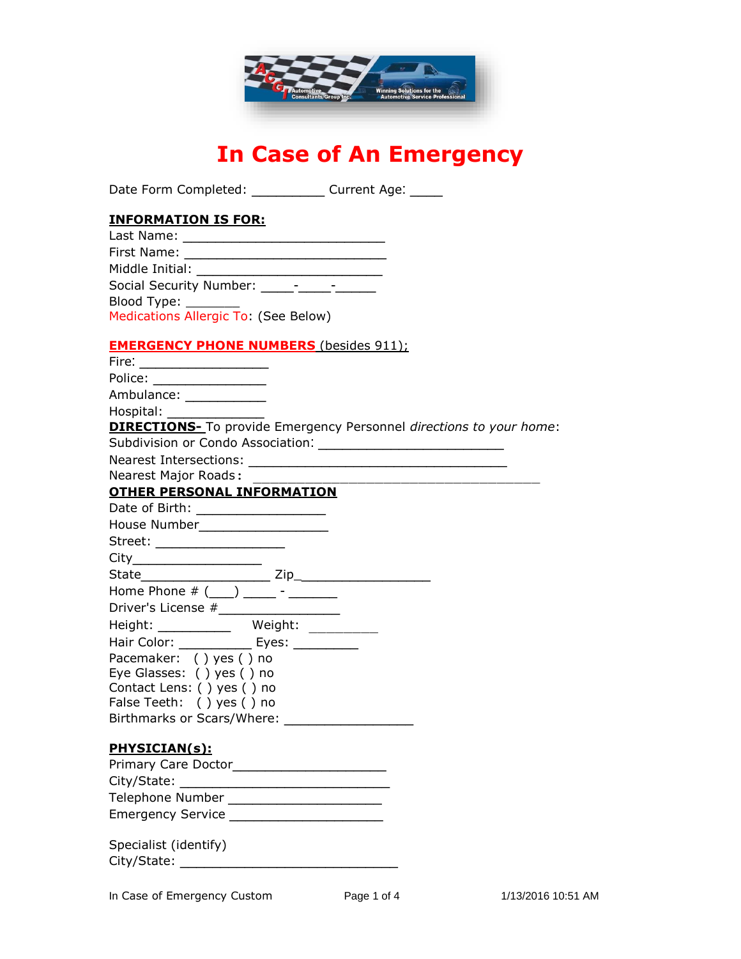

# **In Case of An Emergency**

Date Form Completed: \_\_\_\_\_\_\_\_\_\_\_\_ Current Age: \_\_\_\_\_

## **INFORMATION IS FOR:**

| Last Name: _________                 |  |
|--------------------------------------|--|
| First Name: www.com                  |  |
| Middle Initial:                      |  |
| Social Security Number: _____-____-  |  |
| Blood Type: ________                 |  |
| Medications Allergic To: (See Below) |  |

#### **EMERGENCY PHONE NUMBERS** (besides 911);

| Fire: ______________________                                                                                   |  |
|----------------------------------------------------------------------------------------------------------------|--|
| Police: ________________                                                                                       |  |
| Ambulance: ____________                                                                                        |  |
| Hospital: and the state of the state of the state of the state of the state of the state of the state of the s |  |
| <b>DIRECTIONS-</b> To provide Emergency Personnel directions to your home:                                     |  |
|                                                                                                                |  |
|                                                                                                                |  |
| <b>Nearest Major Roads:</b>                                                                                    |  |
| <b>OTHER PERSONAL INFORMATION</b>                                                                              |  |
| Date of Birth: ____________________                                                                            |  |
| House Number___________________                                                                                |  |
| Street: ____________________                                                                                   |  |
|                                                                                                                |  |
|                                                                                                                |  |
| Home Phone $# ($ ________ - _______                                                                            |  |
| Driver's License #___________________                                                                          |  |
|                                                                                                                |  |
| Hair Color: ______________ Eyes: ___________                                                                   |  |
| Pacemaker: () yes () no                                                                                        |  |
| Eye Glasses: () yes () no                                                                                      |  |
| Contact Lens: () yes () no                                                                                     |  |
| False Teeth: ( ) yes ( ) no                                                                                    |  |
|                                                                                                                |  |
| PHYSICIAN(s):                                                                                                  |  |
|                                                                                                                |  |
|                                                                                                                |  |
| Telephone Number ___________________________                                                                   |  |
| Emergency Service ___________________________                                                                  |  |
|                                                                                                                |  |
| Specialist (identify)                                                                                          |  |
|                                                                                                                |  |
|                                                                                                                |  |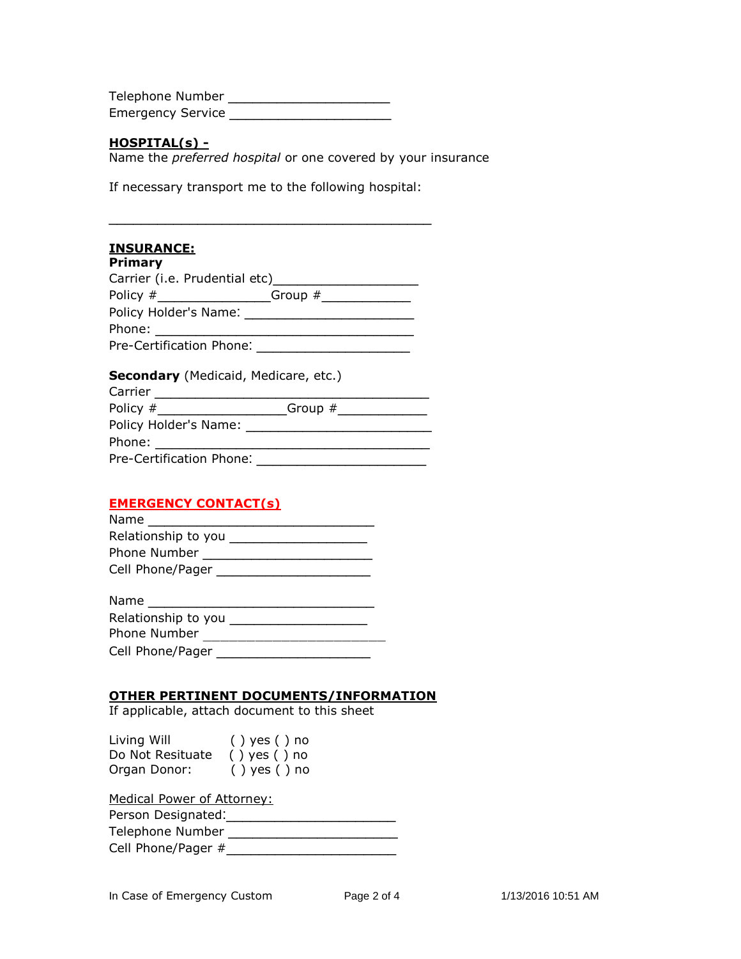Telephone Number \_\_\_\_\_\_\_\_\_\_\_\_\_\_\_\_\_\_\_\_ Emergency Service \_\_\_\_\_\_\_\_\_\_\_\_\_\_\_\_\_\_\_\_

#### **HOSPITAL(s) -**

Name the *preferred hospital* or one covered by your insurance

If necessary transport me to the following hospital:

\_\_\_\_\_\_\_\_\_\_\_\_\_\_\_\_\_\_\_\_\_\_\_\_\_\_\_\_\_\_\_\_\_\_\_\_\_\_\_\_

## **INSURANCE:**

| Primary                                |  |
|----------------------------------------|--|
|                                        |  |
|                                        |  |
|                                        |  |
|                                        |  |
| Pre-Certification Phone: New York 1999 |  |

#### **Secondary** (Medicaid, Medicare, etc.)

| Carrier <u>and</u>                                                                                                                                                                                                             |  |
|--------------------------------------------------------------------------------------------------------------------------------------------------------------------------------------------------------------------------------|--|
|                                                                                                                                                                                                                                |  |
| Policy Holder's Name: The contract of the contract of the contract of the contract of the contract of the contract of the contract of the contract of the contract of the contract of the contract of the contract of the cont |  |
| Phone: the contract of the contract of the contract of the contract of the contract of the contract of the contract of the contract of the contract of the contract of the contract of the contract of the contract of the con |  |
| Pre-Certification Phone:                                                                                                                                                                                                       |  |

## **EMERGENCY CONTACT(s)**

| Name                |
|---------------------|
| Relationship to you |
| Phone Number        |
| Cell Phone/Pager    |

| Name                |
|---------------------|
| Relationship to you |
| Phone Number        |
| Cell Phone/Pager    |

## **OTHER PERTINENT DOCUMENTS/INFORMATION**

If applicable, attach document to this sheet

| Living Will      | () yes () no     |
|------------------|------------------|
| Do Not Resituate | $()$ yes $()$ no |
| Organ Donor:     | $()$ yes $()$ no |

Medical Power of Attorney:

Person Designated:\_\_\_\_\_\_\_\_\_\_\_\_\_\_\_\_\_\_\_\_\_

| Telephone Number |  |  |  |
|------------------|--|--|--|
|                  |  |  |  |

| Cell Phone/Pager # |  |
|--------------------|--|
|--------------------|--|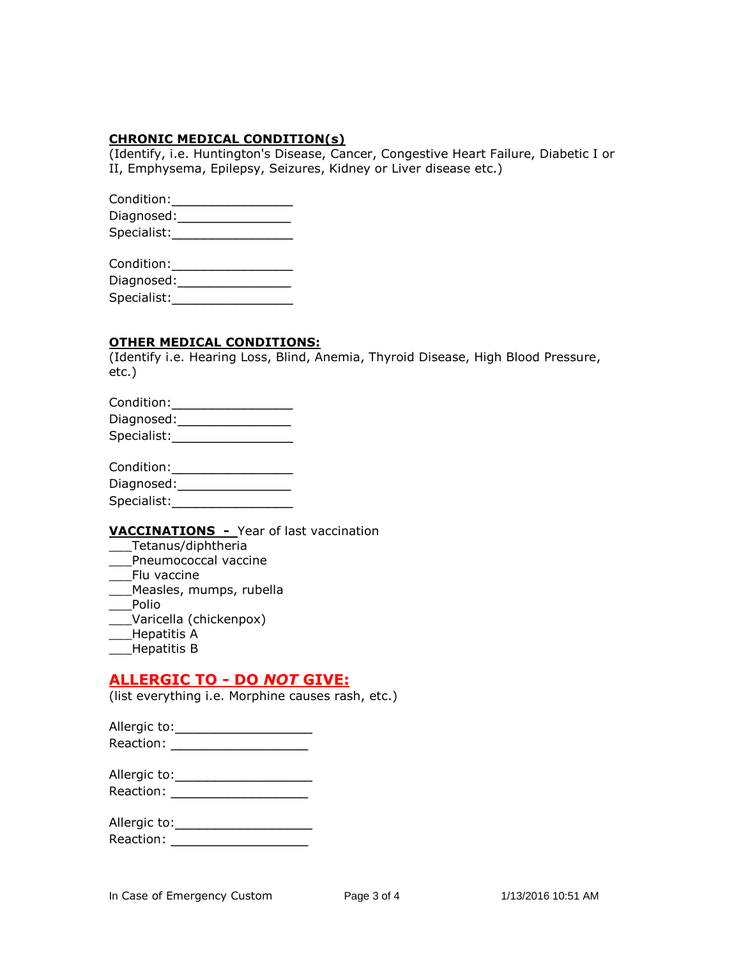#### **CHRONIC MEDICAL CONDITION(s)**

(Identify, i.e. Huntington's Disease, Cancer, Congestive Heart Failure, Diabetic I or II, Emphysema, Epilepsy, Seizures, Kidney or Liver disease etc.)

| Condition:  |  |
|-------------|--|
| Diagnosed:  |  |
| Specialist: |  |

| Condition:  |  |
|-------------|--|
| Diagnosed:  |  |
| Specialist: |  |

#### **OTHER MEDICAL CONDITIONS:**

(Identify i.e. Hearing Loss, Blind, Anemia, Thyroid Disease, High Blood Pressure, etc.)

| Condition:  |  |
|-------------|--|
| Diagnosed:  |  |
| Specialist: |  |
|             |  |
|             |  |

| Condition: |  |
|------------|--|
|            |  |

Diagnosed:\_\_\_\_\_\_\_\_\_\_\_\_\_\_\_\_\_\_\_\_ Specialist:

## **VACCINATIONS -** Year of last vaccination

- \_\_\_Tetanus/diphtheria
- \_\_\_Pneumococcal vaccine
- \_\_\_Flu vaccine
- \_\_\_Measles, mumps, rubella
- \_\_\_Polio
- \_\_\_Varicella (chickenpox)
- \_\_\_Hepatitis A
- \_\_\_Hepatitis B

## **ALLERGIC TO - DO** *NOT* **GIVE:**

(list everything i.e. Morphine causes rash, etc.)

| Allergic to: |  |
|--------------|--|
| Reaction:    |  |

| Allergic to: |  |
|--------------|--|
| Reaction:    |  |

| Allergic to: |  |
|--------------|--|
| Reaction:    |  |